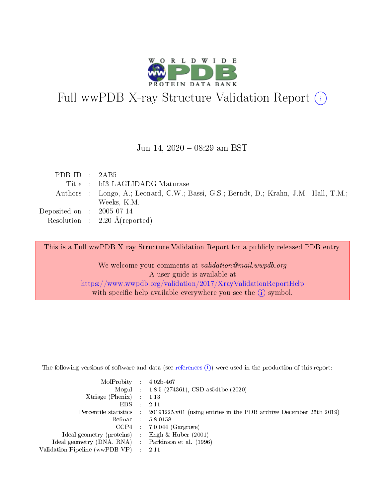

# Full wwPDB X-ray Structure Validation Report (i)

#### Jun 14, 2020 - 08:29 am BST

| PDB ID : $2AB5$                      |                                                                                       |
|--------------------------------------|---------------------------------------------------------------------------------------|
|                                      | Title : bI3 LAGLIDADG Maturase                                                        |
|                                      | Authors : Longo, A.; Leonard, C.W.; Bassi, G.S.; Berndt, D.; Krahn, J.M.; Hall, T.M.; |
|                                      | Weeks, K.M.                                                                           |
| Deposited on $\therefore$ 2005-07-14 |                                                                                       |
|                                      | Resolution : $2.20 \text{ Å}$ (reported)                                              |

This is a Full wwPDB X-ray Structure Validation Report for a publicly released PDB entry.

We welcome your comments at validation@mail.wwpdb.org A user guide is available at <https://www.wwpdb.org/validation/2017/XrayValidationReportHelp> with specific help available everywhere you see the  $(i)$  symbol.

The following versions of software and data (see [references](https://www.wwpdb.org/validation/2017/XrayValidationReportHelp#references)  $(1)$ ) were used in the production of this report:

| $MolProbability$ : 4.02b-467                      |                              |                                                                                            |
|---------------------------------------------------|------------------------------|--------------------------------------------------------------------------------------------|
|                                                   |                              | Mogul : 1.8.5 (274361), CSD as 541be (2020)                                                |
| Xtriage (Phenix) $: 1.13$                         |                              |                                                                                            |
| EDS –                                             | $\sim$                       | -2.11                                                                                      |
|                                                   |                              | Percentile statistics : 20191225.v01 (using entries in the PDB archive December 25th 2019) |
| Refmac : 5.8.0158                                 |                              |                                                                                            |
| CCP4                                              |                              | $7.0.044$ (Gargrove)                                                                       |
| Ideal geometry (proteins)                         | $\mathcal{L}_{\mathrm{eff}}$ | Engh & Huber $(2001)$                                                                      |
| Ideal geometry (DNA, RNA) Parkinson et al. (1996) |                              |                                                                                            |
| Validation Pipeline (wwPDB-VP) : 2.11             |                              |                                                                                            |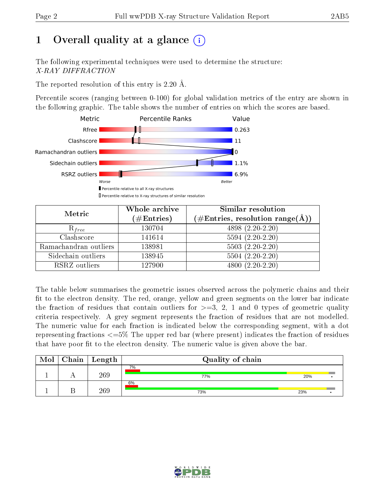# 1 [O](https://www.wwpdb.org/validation/2017/XrayValidationReportHelp#overall_quality)verall quality at a glance  $(i)$

The following experimental techniques were used to determine the structure: X-RAY DIFFRACTION

The reported resolution of this entry is 2.20 Å.

Percentile scores (ranging between 0-100) for global validation metrics of the entry are shown in the following graphic. The table shows the number of entries on which the scores are based.



| Metric                | Whole archive<br>$(\#\mathrm{Entries})$ | Similar resolution<br>$(\#\text{Entries},\,\text{resolution}\,\,\text{range}(\textup{\AA}))$ |
|-----------------------|-----------------------------------------|----------------------------------------------------------------------------------------------|
| $R_{free}$            | 130704                                  | $4898(2.20-2.20)$                                                                            |
| Clashscore            | 141614                                  | $5594(2.20-2.20)$                                                                            |
| Ramachandran outliers | 138981                                  | $5503 (2.20-2.20)$                                                                           |
| Sidechain outliers    | 138945                                  | $5504(2.20-2.20)$                                                                            |
| RSRZ outliers         | 127900                                  | $4800(2.20-2.20)$                                                                            |

The table below summarises the geometric issues observed across the polymeric chains and their fit to the electron density. The red, orange, yellow and green segments on the lower bar indicate the fraction of residues that contain outliers for  $>=3, 2, 1$  and 0 types of geometric quality criteria respectively. A grey segment represents the fraction of residues that are not modelled. The numeric value for each fraction is indicated below the corresponding segment, with a dot representing fractions  $\epsilon=5\%$  The upper red bar (where present) indicates the fraction of residues that have poor fit to the electron density. The numeric value is given above the bar.

| Mol | ${\bf Chain \mid Length}$ | Quality of chain |     |  |
|-----|---------------------------|------------------|-----|--|
|     | 269                       | 7%<br>77%        | 20% |  |
|     | 269                       | 6%<br>73%        | 23% |  |

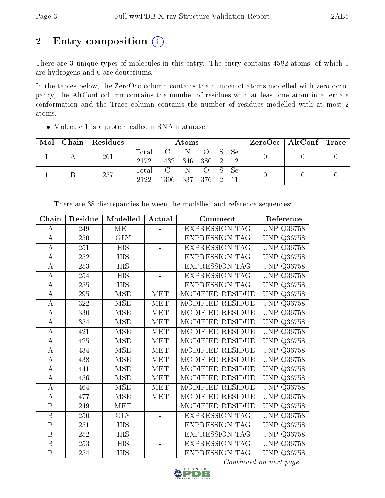# 2 Entry composition  $\left( \cdot \right)$

There are 3 unique types of molecules in this entry. The entry contains 4582 atoms, of which 0 are hydrogens and 0 are deuteriums.

In the tables below, the ZeroOcc column contains the number of atoms modelled with zero occupancy, the AltConf column contains the number of residues with at least one atom in alternate conformation and the Trace column contains the number of residues modelled with at most 2 atoms.

 $2122$  1396 337 376 2 11 0 0 0

• Molecule 1 is a protein called mRNA maturase.  $\text{Mol} \mid \text{Chain} \mid \text{Residues} \mid \text{Atoms} \mid \text{ZeroOcc} \mid \text{AltConf} \mid \text{Trace}$ <sup>1</sup> <sup>A</sup> <sup>261</sup> Total C N O S Se  $2172$  1432 346 380 2 12 0 0 0  $1 \quad B \quad 257 \quad 1000 \quad 1206 \quad 227 \quad 276 \quad 211$ 

| Chain                   | Residue | Modelled         | Actual                  | Comment                 | Reference            |
|-------------------------|---------|------------------|-------------------------|-------------------------|----------------------|
| А                       | 249     | <b>MET</b>       | $\equiv$                | <b>EXPRESSION TAG</b>   | <b>UNP Q36758</b>    |
| $\bf{A}$                | 250     | <b>GLY</b>       | $\equiv$                | <b>EXPRESSION TAG</b>   | UNP Q36758           |
| $\bf{A}$                | 251     | <b>HIS</b>       | $\blacksquare$          | <b>EXPRESSION TAG</b>   | <b>UNP Q36758</b>    |
| $\bf{A}$                | 252     | <b>HIS</b>       | $\equiv$                | <b>EXPRESSION TAG</b>   | <b>UNP Q36758</b>    |
| $\boldsymbol{A}$        | 253     | $\overline{HIS}$ | $\blacksquare$          | <b>EXPRESSION TAG</b>   | UNP<br>Q36758        |
| $\boldsymbol{A}$        | 254     | <b>HIS</b>       |                         | <b>EXPRESSION TAG</b>   | UNP<br>Q36758        |
| $\bf{A}$                | 255     | <b>HIS</b>       |                         | <b>EXPRESSION TAG</b>   | <b>UNP Q36758</b>    |
| $\boldsymbol{A}$        | 295     | <b>MSE</b>       | <b>MET</b>              | MODIFIED RESIDUE        | <b>UNP Q36758</b>    |
| $\boldsymbol{A}$        | 322     | <b>MSE</b>       | MET                     | <b>MODIFIED RESIDUE</b> | UNP Q36758           |
| $\boldsymbol{A}$        | 330     | <b>MSE</b>       | $\overline{\text{MET}}$ | MODIFIED RESIDUE        | UNP<br>Q36758        |
| $\bf{A}$                | 354     | <b>MSE</b>       | <b>MET</b>              | MODIFIED RESIDUE        | <b>UNP Q36758</b>    |
| $\bf{A}$                | 421     | <b>MSE</b>       | MET                     | MODIFIED RESIDUE        | <b>UNP</b><br>Q36758 |
| $\boldsymbol{A}$        | 425     | <b>MSE</b>       | MET                     | MODIFIED RESIDUE        | UNP<br>Q36758        |
| $\bf{A}$                | 434     | <b>MSE</b>       | <b>MET</b>              | MODIFIED RESIDUE        | <b>UNP Q36758</b>    |
| $\overline{\rm A}$      | 438     | <b>MSE</b>       | <b>MET</b>              | MODIFIED RESIDUE        | <b>UNP Q36758</b>    |
| $\bf{A}$                | 441     | <b>MSE</b>       | MET                     | MODIFIED RESIDUE        | <b>UNP Q36758</b>    |
| $\boldsymbol{A}$        | 456     | <b>MSE</b>       | <b>MET</b>              | <b>MODIFIED RESIDUE</b> | <b>UNP Q36758</b>    |
| $\bf{A}$                | 464     | <b>MSE</b>       | <b>MET</b>              | MODIFIED RESIDUE        | UNP Q36758           |
| $\bf{A}$                | 477     | <b>MSE</b>       | <b>MET</b>              | <b>MODIFIED RESIDUE</b> | UNP<br>Q36758        |
| $\overline{\mathbf{B}}$ | 249     | MET              |                         | MODIFIED RESIDUE        | UNP<br>Q36758        |
| $\, {\bf B}$            | 250     | <b>GLY</b>       | $\equiv$                | <b>EXPRESSION TAG</b>   | <b>UNP Q36758</b>    |
| B                       | 251     | <b>HIS</b>       | $\blacksquare$          | <b>EXPRESSION TAG</b>   | <b>UNP Q36758</b>    |
| B                       | 252     | <b>HIS</b>       |                         | <b>EXPRESSION TAG</b>   | <b>UNP Q36758</b>    |
| B                       | 253     | <b>HIS</b>       | $\blacksquare$          | <b>EXPRESSION TAG</b>   | <b>UNP Q36758</b>    |
| $\overline{\mathbf{B}}$ | 254     | <b>HIS</b>       | $\equiv$                | <b>EXPRESSION TAG</b>   | <b>UNP Q36758</b>    |

There are 38 discrepancies between the modelled and reference sequences:

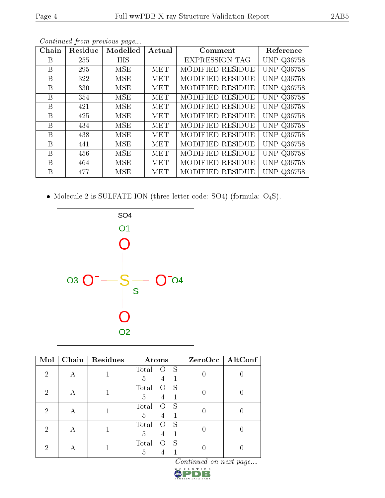| Chain | Residue | Modelled   | Actual     | Comment                 | Reference         |
|-------|---------|------------|------------|-------------------------|-------------------|
| В     | 255     | <b>HIS</b> |            | <b>EXPRESSION TAG</b>   | <b>UNP Q36758</b> |
| B     | 295     | MSE        | MET        | <b>MODIFIED RESIDUE</b> | <b>UNP Q36758</b> |
| B     | 322     | MSE        | MET        | <b>MODIFIED RESIDUE</b> | <b>UNP Q36758</b> |
| B     | 330     | MSE        | <b>MET</b> | <b>MODIFIED RESIDUE</b> | UNP Q36758        |
| B     | 354     | MSE        | MET        | <b>MODIFIED RESIDUE</b> | <b>UNP Q36758</b> |
| B     | 421     | MSE        | <b>MET</b> | <b>MODIFIED RESIDUE</b> | <b>UNP Q36758</b> |
| B     | 425     | MSE        | MET        | <b>MODIFIED RESIDUE</b> | <b>UNP Q36758</b> |
| B     | 434     | MSE        | <b>MET</b> | <b>MODIFIED RESIDUE</b> | <b>UNP Q36758</b> |
| B     | 438     | MSE        | MET        | <b>MODIFIED RESIDUE</b> | UNP Q36758        |
| B     | 441     | MSE        | MET        | <b>MODIFIED RESIDUE</b> | <b>UNP Q36758</b> |
| B     | 456     | MSE        | <b>MET</b> | MODIFIED RESIDUE        | UNP Q36758        |
| B     | 464     | MSE        | MET        | <b>MODIFIED RESIDUE</b> | <b>UNP Q36758</b> |
| B     | 477     | MSE        | MET        | MODIFIED RESIDUE        | UNP Q36758        |

Continued from previous page...

 $\bullet$  Molecule 2 is SULFATE ION (three-letter code: SO4) (formula:  $\mathrm{O}_4\mathrm{S}) .$ 



| Mol | Chain | Residues | Atoms                                    | $ZeroOcc$   AltConf |
|-----|-------|----------|------------------------------------------|---------------------|
| 2   |       |          | Total<br>S<br>5<br>4                     |                     |
| 2   | А     |          | Total<br>S<br>$\left( \ \right)$<br>5    |                     |
| 2   | А     |          | Total<br>S<br>$\left( \right)$<br>5<br>4 |                     |
| 2   | А     |          | Total<br>S<br>5<br>4                     |                     |
| റ   | А     |          | S<br>Total<br>$\left( \right)$<br>5      |                     |

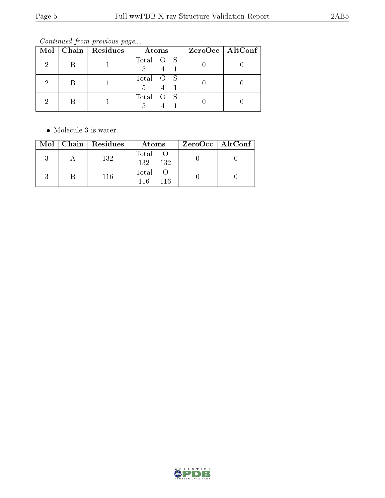Continued from previous page...

|  | $Mol$   Chain   Residues | Atoms           | $ZeroOcc \mid AltConf \mid$ |
|--|--------------------------|-----------------|-----------------------------|
|  |                          | Total O S<br>.5 |                             |
|  |                          | Total O S<br>5  |                             |
|  |                          | Total O S       |                             |

• Molecule 3 is water.

|  | $\text{Mol}$   Chain   Residues | Atoms                | $ZeroOcc \   \ AltConf \  $ |
|--|---------------------------------|----------------------|-----------------------------|
|  | 132                             | Total<br>132<br>-132 |                             |
|  | 116                             | Total<br>116.<br>116 |                             |

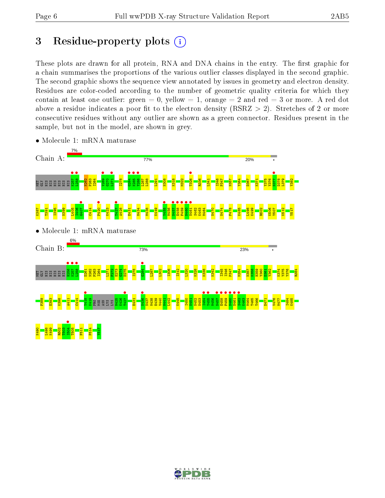# 3 Residue-property plots  $(i)$

These plots are drawn for all protein, RNA and DNA chains in the entry. The first graphic for a chain summarises the proportions of the various outlier classes displayed in the second graphic. The second graphic shows the sequence view annotated by issues in geometry and electron density. Residues are color-coded according to the number of geometric quality criteria for which they contain at least one outlier: green  $= 0$ , yellow  $= 1$ , orange  $= 2$  and red  $= 3$  or more. A red dot above a residue indicates a poor fit to the electron density (RSRZ  $> 2$ ). Stretches of 2 or more consecutive residues without any outlier are shown as a green connector. Residues present in the sample, but not in the model, are shown in grey.



• Molecule 1: mRNA maturase

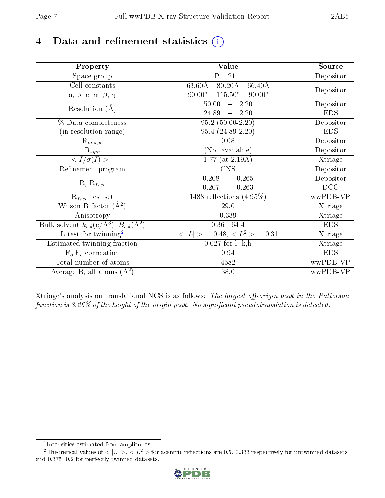# 4 Data and refinement statistics  $(i)$

| Property                                                             | Value                                                       | Source     |
|----------------------------------------------------------------------|-------------------------------------------------------------|------------|
| Space group                                                          | P 1 21 1                                                    | Depositor  |
| Cell constants                                                       | $80.20\text{\AA}$<br>$63.60\text{\AA}$<br>$66.40\text{\AA}$ |            |
| a, b, c, $\alpha$ , $\beta$ , $\gamma$                               | $115.50^\circ$<br>$90.00^\circ$<br>$90.00^\circ$            | Depositor  |
| Resolution $(A)$                                                     | 50.00<br>$-2.20$                                            | Depositor  |
|                                                                      | 24.89<br>$-2.20$                                            | <b>EDS</b> |
| % Data completeness                                                  | $95.2(50.00-2.20)$                                          | Depositor  |
| (in resolution range)                                                | 95.4 (24.89-2.20)                                           | <b>EDS</b> |
| $R_{merge}$                                                          | $0.08\,$                                                    | Depositor  |
| $\mathrm{R}_{sym}$                                                   | (Not available)                                             | Depositor  |
| $\langle I/\sigma(I) \rangle$ <sup>1</sup>                           | 1.77 (at $2.19\text{\AA})$                                  | Xtriage    |
| Refinement program                                                   | $\overline{\text{CNS}}$                                     | Depositor  |
|                                                                      | 0.208<br>0.265<br>$\overline{\phantom{a}}$                  | Depositor  |
| $R, R_{free}$                                                        | 0.207<br>0.263<br>$\ddot{\phantom{0}}$                      | DCC        |
| $R_{free}$ test set                                                  | 1488 reflections $(4.95\%)$                                 | wwPDB-VP   |
| Wilson B-factor $(A^2)$                                              | 29.0                                                        | Xtriage    |
| Anisotropy                                                           | 0.339                                                       | Xtriage    |
| Bulk solvent $k_{sol}(e/\mathring{A}^3)$ , $B_{sol}(\mathring{A}^2)$ | $0.36\,$ , $64.4\,$                                         | <b>EDS</b> |
| $\overline{\text{L-test} \text{ for twinning}^2}$                    | $< L >$ = 0.48, $< L2 >$ = 0.31                             | Xtriage    |
| Estimated twinning fraction                                          | $0.027$ for $1, -k, h$                                      | Xtriage    |
| $F_o, F_c$ correlation                                               | 0.94                                                        | <b>EDS</b> |
| Total number of atoms                                                | 4582                                                        | wwPDB-VP   |
| Average B, all atoms $(A^2)$                                         | 38.0                                                        | wwPDB-VP   |

Xtriage's analysis on translational NCS is as follows: The largest off-origin peak in the Patterson function is  $8.26\%$  of the height of the origin peak. No significant pseudotranslation is detected.

<sup>&</sup>lt;sup>2</sup>Theoretical values of  $\langle |L| \rangle$ ,  $\langle L^2 \rangle$  for acentric reflections are 0.5, 0.333 respectively for untwinned datasets, and 0.375, 0.2 for perfectly twinned datasets.



<span id="page-6-1"></span><span id="page-6-0"></span><sup>1</sup> Intensities estimated from amplitudes.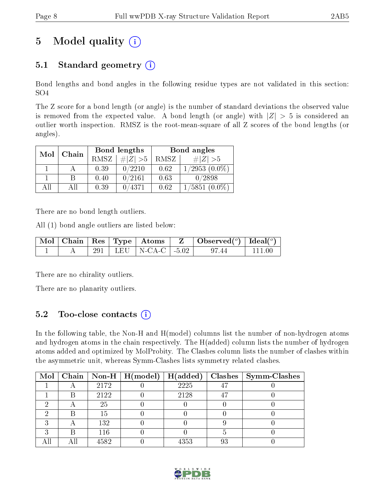## 5 Model quality  $(i)$

## 5.1 Standard geometry  $(i)$

Bond lengths and bond angles in the following residue types are not validated in this section: SO4

The Z score for a bond length (or angle) is the number of standard deviations the observed value is removed from the expected value. A bond length (or angle) with  $|Z| > 5$  is considered an outlier worth inspection. RMSZ is the root-mean-square of all Z scores of the bond lengths (or angles).

| Mol | Chain |             | Bond lengths | Bond angles |                    |  |
|-----|-------|-------------|--------------|-------------|--------------------|--|
|     |       | <b>RMSZ</b> | $\# Z  > 5$  | RMSZ        | # $ Z  > 5$        |  |
|     |       | 0.39        | 0/2210       | 0.62        | $1/2953$ $(0.0\%)$ |  |
|     | В     | 0.40        | 0/2161       | 0.63        | 0/2898             |  |
| ΑH  | ΑH    | 0.39        | 0/4371       | 0.62        | $1/5851(0.0\%)$    |  |

There are no bond length outliers.

All (1) bond angle outliers are listed below:

|  |  |                            | $\vert$ Mol $\vert$ Chain $\vert$ Res $\vert$ Type $\vert$ Atoms $\vert$ Z $\vert$ Observed( <sup>o</sup> ) $\vert$ Ideal( <sup>o</sup> ) |        |
|--|--|----------------------------|-------------------------------------------------------------------------------------------------------------------------------------------|--------|
|  |  | 291   LEU   N-CA-C   -5.02 | 97.44                                                                                                                                     | 111 00 |

There are no chirality outliers.

There are no planarity outliers.

### 5.2 Too-close contacts  $(i)$

In the following table, the Non-H and H(model) columns list the number of non-hydrogen atoms and hydrogen atoms in the chain respectively. The H(added) column lists the number of hydrogen atoms added and optimized by MolProbity. The Clashes column lists the number of clashes within the asymmetric unit, whereas Symm-Clashes lists symmetry related clashes.

| Mol |   |      | $\mid$ Chain $\mid$ Non-H $\mid$ H(model) $\mid$ | H(added) |    | $\text{Classes} \mid \text{Symm-Class}$ |
|-----|---|------|--------------------------------------------------|----------|----|-----------------------------------------|
|     |   | 2172 |                                                  | 2225     |    |                                         |
|     |   | 2122 |                                                  | 2128     |    |                                         |
|     |   | 25   |                                                  |          |    |                                         |
|     |   | Тb   |                                                  |          |    |                                         |
|     |   | 132  |                                                  |          |    |                                         |
|     | R | 116  |                                                  |          |    |                                         |
|     |   | 4582 |                                                  | 4353     | 93 |                                         |

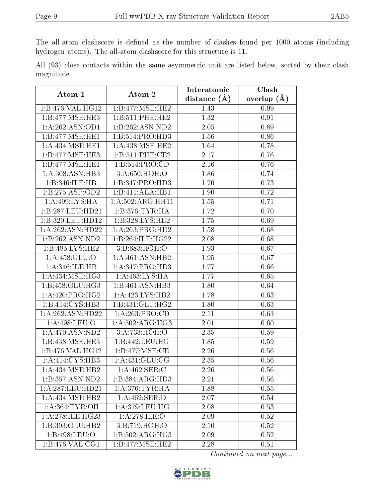The all-atom clashscore is defined as the number of clashes found per 1000 atoms (including hydrogen atoms). The all-atom clashscore for this structure is 11.

All (93) close contacts within the same asymmetric unit are listed below, sorted by their clash magnitude.

| Atom-1                               | Atom-2                       | Interatomic       | Clash         |  |
|--------------------------------------|------------------------------|-------------------|---------------|--|
|                                      |                              | distance $(A)$    | overlap $(A)$ |  |
| 1:B:476:VAL:HG12                     | 1:B:477:MSE:HE2              | 1.43              | 0.99          |  |
| 1:B:477:MSE:HE3                      | 1:B:511:PHE:HE2              | 1.32              | 0.91          |  |
| 1:A:262:ASN:OD1                      | 1:B:262:ASN:ND2              | 2.05              | 0.89          |  |
| $1:B:477:MSE: \overline{HE1}$        | 1:B:514:PRO:HD3              | 1.56              | 0.86          |  |
| 1: A: 434: MSE: HE1                  | $1:\overline{A:438:MSE:HE2}$ | 1.64              | 0.78          |  |
| 1:B:477:MSE:HE3                      | 1: B:511: PHE:CE2            | 2.17              | 0.76          |  |
| 1:B:477:MSE:HE1                      | 1:B:514:PRO:CD               | 2.16              | 0.76          |  |
| $1:A:308: \overline{\text{ASN:HB3}}$ | 3:A:650:HOH:O                | 1.86              | 0.74          |  |
| 1:B:346:ILE:HB                       | 1:B:347:PRO:HD3              | 1.70              | 0.73          |  |
| 1:B:275:ASP:OD2                      | 1:B:411:ALA:HB1              | 1.90              | 0.72          |  |
| 1: A:499: LYS: HA                    | 1:A:502:ARG:HH11             | 1.55              | 0.71          |  |
| 1:B:287:LEU:HD21                     | 1: B: 376: TYR: HA           | 1.72              | 0.70          |  |
| 1:B:320:LEU:HD12                     | 1:B:328:LYS:HE2              | 1.75              | 0.69          |  |
| 1:A:262:ASN:HD22                     | 1:A:263:PRO:HD2              | 1.58              | 0.68          |  |
| 1:B:262:ASN:ND2                      | 1:B:264:ILE:HG22             | 2.08              | 0.68          |  |
| 1:B:485:LYS:HE2                      | 3:B:683:HOH:O                | 1.93              | 0.67          |  |
| 1: A: 458: GLU:O                     | 1:A:461:ASN:HB2              | 1.95              | 0.67          |  |
| 1: A:346: ILE: HB                    | 1:A:347:PRO:H <sub>D3</sub>  | 1.77              | 0.66          |  |
| 1:A:434:MSE:HG3                      | 1: A:463: LYS: HA            | 1.77              | 0.65          |  |
| 1:B:458:GLU:HG3                      | 1:B:461:ASN:HB3              | 1.80              | 0.64          |  |
| 1: A:420: PRO:HG2                    | 1:A:423:LYS:HB2              | 1.78              | 0.63          |  |
| 1:B:414:CYS:HB3                      | 1:B:431:GLU:HG2              | 1.80              | 0.63          |  |
| 1:A:262:ASN:HD22                     | 1:A:263:PRO:CD               | 2.11              | 0.63          |  |
| $1:$ A:498:LEU:O                     | 1: A:502: ARG: HG3           | 2.01              | 0.60          |  |
| 1:A:470:ASN:ND2                      | 3:A:733:HOH:O                | 2.35              | 0.59          |  |
| 1:B:438:MSE:HE3                      | 1:B:442:LEU:HG               | 1.85              | 0.59          |  |
| 1:B:476:VAL:HG12                     | 1:B:477:MSE:CE               | 2.26              | 0.56          |  |
| 1:A:414:CYS:HB3                      | 1: A: 431: GLU: CG           | 2.35              | 0.56          |  |
| 1: A: 434: MSE: HB2                  | 1: A:462: SER: C             | $\overline{2.26}$ | 0.56          |  |
| 1:B:357:ASN:ND2                      | 1:B:384:ARG:HD3              | 2.21              | 0.56          |  |
| 1: A:287:LEU:HD21                    | 1: A:376:TYR:HA              | 1.88              | 0.55          |  |
| 1:A:434:MSE:HB2                      | 1:A:462:SER:O                | 2.07              | 0.54          |  |
| 1: A: 364: TYR: OH                   | 1:A:379:LEU:HG               | 2.08              | 0.53          |  |
| 1:A:278:ILE:HG23                     | 1: A:278: ILE: O             | 2.09              | 0.52          |  |
| 1:B:393:GLU:HB2                      | 3:B:719:HOH:O                | 2.10              | 0.52          |  |
| 1: B: 498: LEU: O                    | 1:B:502:ARG:HG3              | 2.09              | 0.52          |  |
| 1:B:476:VAL:CG1                      | 1:B:477:MSE:HE2              | 2.28              | 0.51          |  |

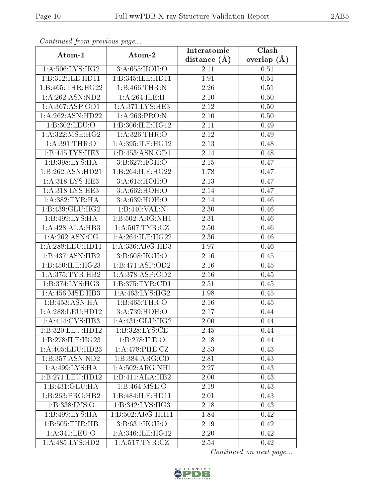| Comunaca jiom previous page |                                       | Interatomic    | Clash         |
|-----------------------------|---------------------------------------|----------------|---------------|
| Atom-1                      | Atom-2                                | distance $(A)$ | overlap $(A)$ |
| 1: A:506: LYS: HG2          | 3:A:655:HOH:O                         | 2.11           | 0.51          |
| 1:B:312:ILE:HD11            | 1:B:345:ILE:HD11                      | 1.91           | 0.51          |
| 1:B:465:THR:HG22            | 1:B:466:THR:N                         | 2.26           | 0.51          |
| 1:A:262:ASN:ND2             | 1:A:264:ILE:H                         | 2.10           | 0.50          |
| 1: A: 367: ASP: OD1         | 1: A:371:LYS:HE3                      | 2.12           | 0.50          |
| 1:A:262:ASN:HD22            | 1: A:263:PRO: N                       | 2.10           | 0.50          |
| 1:B:302:LEU:O               | 1:B:306:ILE:HG12                      | 2.11           | 0.49          |
| 1: A:322: MSE: HG2          | 1: A:326:THR:O                        | 2.12           | 0.49          |
| 1:A:391:THR:O               | 1:A:395:ILE:HG12                      | 2.13           | 0.48          |
| 1:B:445:LYS:HE3             | 1:B:453:ASN:OD1                       | 2.14           | 0.48          |
| 1:B:398:LYS:HA              | 3:B:627:HOH:O                         | 2.15           | 0.47          |
| 1:B:262:ASN:HD21            | 1:B:264:ILE:HG22                      | 1.78           | 0.47          |
| 1: A:318: LYS: HE3          | 3:A:615:HOH:O                         | 2.13           | 0.47          |
| 1:A:318:LYS:HE3             | 3:A:662:HOH:O                         | 2.14           | 0.47          |
| 1: A: 382: TYR: HA          | 3:A:639:HOH:O                         | 2.14           | 0.46          |
| 1:B:439:GLU:HG2             | 1:B:440:VAL:N                         | 2.30           | 0.46          |
| 1:B:499:LYS:HA              | 1:B:502:ARG:NH1                       | 2.31           | 0.46          |
| 1:A:428:ALA:HB3             | 1: A:507: TYR: CZ                     | 2.50           | 0.46          |
| 1: A:262: ASN:CG            | 1:A:264:ILE:HG22                      | 2.36           | 0.46          |
| 1: A:288:LEU:HD11           | 1: A: 336: ARG: HD3                   | 1.97           | 0.46          |
| 1:B:437:ASN:HB2             | 3:B:608:HOH:O                         | 2.16           | 0.45          |
| 1:B:450:ILE:HG23            | 1:B:471:ASP:OD2                       | 2.16           | 0.45          |
| 1: A:375: TYR: HB2          | 1:A:378:ASP:OD2                       | 2.16           | 0.45          |
| 1:B:374:LYS:HG3             | 1:B:375:TYR:CD1                       | 2.51           | 0.45          |
| 1: A: 456: MSE: HB3         | 1: A:463: LYS: HG2                    | 1.98           | 0.45          |
| 1:B:453:ASN:HA              | 1:B:465:THR:O                         | 2.16           | 0.45          |
| 1:A:288:LEU:HD12            | 3:A:739:HOH:O                         | 2.17           | 0.44          |
| 1:A:414:CYS:HB3             | 1:A:431:GLU:HG2                       | 2.00           | 0.44          |
| 1:B:320:LEU:HD12            | $1: B:328: LYS: \overline{\text{CE}}$ | 2.45           | $0.44\,$      |
| 1:B:278:ILE:HG23            | 1:B:278:ILE:O                         | 2.18           | 0.44          |
| 1:A:405:LEU:HD23            | 1:A:478:PHE:CZ                        | 2.53           | 0.43          |
| 1:B:357:ASN:ND2             | 1:B:384:ARG:CD                        | 2.81           | 0.43          |
| $1:A:499:LYS:\overline{HA}$ | $1:A:502:ARG:\overline{NH1}$          | 2.27           | 0.43          |
| 1:B:271:LEU:HD12            | 1:B:411:ALA:HB2                       | 2.00           | 0.43          |
| 1:B:431:GLU:HA              | 1:B:464:MSE:O                         | 2.19           | 0.43          |
| 1:B:263:PRO:HB2             | 1:B:484:ILE:HD11                      | 2.01           | 0.43          |
| 1:B:338:LYS:O               | 1:B:342:LYS:HG3                       | 2.18           | 0.43          |
| 1:B:499:LYS:HA              | 1:B:502:ARG:HH11                      | 1.84           | 0.42          |
| 1:B:505:THR:HB              | 3: B:631: HOH:O                       | 2.19           | 0.42          |
| 1: A:341:LEU:O              | 1: A:346: ILE: HG12                   | 2.20           | 0.42          |
| 1: A:485:LYS:HD2            | 1: A:517: TYR: CZ                     | 2.54           | 0.42          |

Continued from previous page.

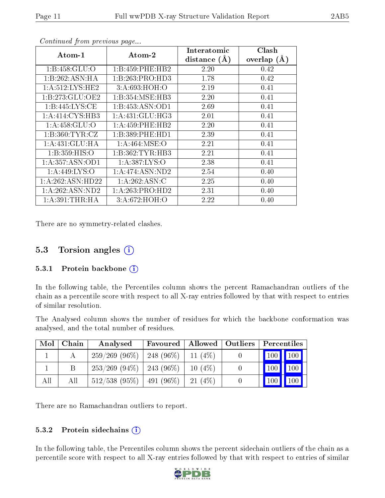| Atom-1              | Atom-2                       | Interatomic    | Clash         |
|---------------------|------------------------------|----------------|---------------|
|                     |                              | distance $(A)$ | overlap $(A)$ |
| 1: B: 458: GLU: O   | 1:B:459:PHE:HB2              | 2.20           | 0.42          |
| 1:B:262:ASN:HA      | 1:B:263:PRO:HD3              | 1.78           | 0.42          |
| 1: A:512: LYS: HE2  | 3:A:693:HOH:O                | 2.19           | 0.41          |
| 1:B:273:GLU:OE2     | 1:B:354:MSE:HB3              | 2.20           | 0.41          |
| 1: B:445: LYS: CE   | 1:B:453:ASN:OD1              | 2.69           | 0.41          |
| 1:A:414:CYS:HB3     | $1:A:431:GLU:\overline{HG3}$ | 2.01           | 0.41          |
| 1: A:458: GLU:O     | 1: A: 459: PHE: HB2          | 2.20           | 0.41          |
| 1: B:360: TYR: CZ   | 1:B:389:PHE:HD1              | 2.39           | 0.41          |
| 1:A:431:GLU:HA      | 1: A:464: MSE:O              | 2.21           | 0.41          |
| 1: B: 359: HIS: O   | 1:B:362:TYR:HB3              | 2.21           | 0.41          |
| 1: A: 357: ASN: OD1 | 1: A: 387: LYS: O            | 2.38           | 0.41          |
| 1: A:449: LYS:O     | 1: A:474: ASN:ND2            | 2.54           | 0.40          |
| 1:A:262:ASN:HD22    | 1:A:262:ASN:C                | 2.25           | 0.40          |
| 1:A:262:ASN:ND2     | 1:A:263:PRO:HD2              | 2.31           | 0.40          |
| 1: A:391:THR:HA     | 3:A:672:HOH:O                | 2.22           | 0.40          |

Continued from previous page...

There are no symmetry-related clashes.

### 5.3 Torsion angles  $(i)$

#### 5.3.1 Protein backbone  $(i)$

In the following table, the Percentiles column shows the percent Ramachandran outliers of the chain as a percentile score with respect to all X-ray entries followed by that with respect to entries of similar resolution.

The Analysed column shows the number of residues for which the backbone conformation was analysed, and the total number of residues.

| Mol | Chain | Analysed         | Favoured     | Allowed   | Outliers | Percentiles                |                                |
|-----|-------|------------------|--------------|-----------|----------|----------------------------|--------------------------------|
|     |       | $259/269(96\%)$  | 248 $(96\%)$ | 11 $(4%)$ |          | $\vert$ 100 $\vert$        | $\parallel$ 100                |
|     |       | $253/269$ (94\%) | 243 $(96\%)$ | $10(4\%)$ |          | 100                        | $\blacksquare$ 100             |
| All | All   | $512/538$ (95\%) | 491 $(96\%)$ | 21(4%)    |          | $^{\prime}$ 100 $_{\rm h}$ | $\triangle$ 100 $\blacksquare$ |

There are no Ramachandran outliers to report.

#### 5.3.2 Protein sidechains  $(i)$

In the following table, the Percentiles column shows the percent sidechain outliers of the chain as a percentile score with respect to all X-ray entries followed by that with respect to entries of similar

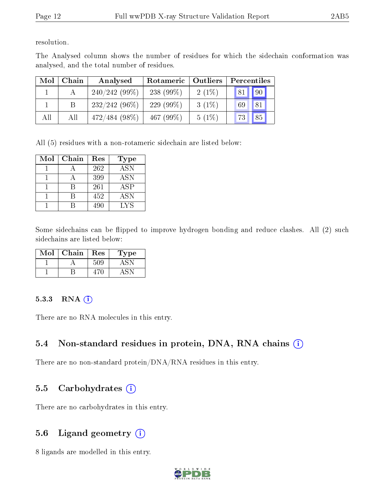resolution.

The Analysed column shows the number of residues for which the sidechain conformation was analysed, and the total number of residues.

| Mol | Chain | Analysed        | Rotameric    | Outliers | Percentiles |
|-----|-------|-----------------|--------------|----------|-------------|
|     |       | $240/242(99\%)$ | 238 $(99\%)$ | $2(1\%)$ | 90<br>81    |
|     |       | $232/242(96\%)$ | 229 $(99\%)$ | $3(1\%)$ | 81<br>69    |
| All | All   | $472/484(98\%)$ | 467 $(99\%)$ | $5(1\%)$ | 85<br>73    |

All (5) residues with a non-rotameric sidechain are listed below:

| Mol | Chain | Res | <b>Type</b> |
|-----|-------|-----|-------------|
|     |       | 262 | <b>ASN</b>  |
|     |       | 399 | <b>ASN</b>  |
|     |       | 261 | ASP         |
|     |       | 452 | ASN         |
|     |       | 490 | LYS         |

Some sidechains can be flipped to improve hydrogen bonding and reduce clashes. All (2) such sidechains are listed below:

| $\operatorname{Mol}$ | Chain | Res | Type |
|----------------------|-------|-----|------|
|                      |       | 509 |      |
|                      |       |     |      |

#### 5.3.3 RNA (i)

There are no RNA molecules in this entry.

### 5.4 Non-standard residues in protein, DNA, RNA chains (i)

There are no non-standard protein/DNA/RNA residues in this entry.

### 5.5 Carbohydrates  $(i)$

There are no carbohydrates in this entry.

### 5.6 Ligand geometry  $(i)$

8 ligands are modelled in this entry.

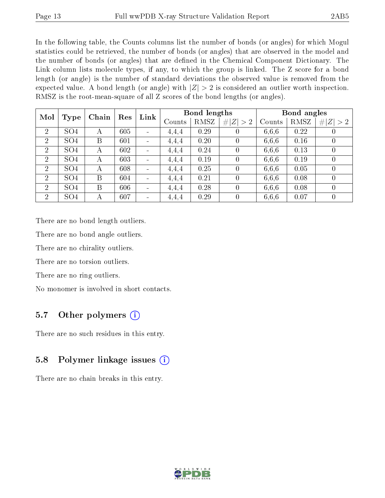In the following table, the Counts columns list the number of bonds (or angles) for which Mogul statistics could be retrieved, the number of bonds (or angles) that are observed in the model and the number of bonds (or angles) that are dened in the Chemical Component Dictionary. The Link column lists molecule types, if any, to which the group is linked. The Z score for a bond length (or angle) is the number of standard deviations the observed value is removed from the expected value. A bond length (or angle) with  $|Z| > 2$  is considered an outlier worth inspection. RMSZ is the root-mean-square of all Z scores of the bond lengths (or angles).

| Mol            |                 | Res<br>Chain |     | Link                         | Bond lengths |      |                | Bond angles |             |                  |
|----------------|-----------------|--------------|-----|------------------------------|--------------|------|----------------|-------------|-------------|------------------|
|                | Type            |              |     |                              | Counts       | RMSZ | # $ Z  > 2$    | Counts      | <b>RMSZ</b> | # $ Z  > 2$      |
| $\overline{2}$ | SO <sub>4</sub> | А            | 605 | $\qquad \qquad \blacksquare$ | 4,4,4        | 0.29 | 0              | 6,6,6       | 0.22        | $\left( \right)$ |
| 2              | SO <sub>4</sub> | B            | 601 | $\qquad \qquad \blacksquare$ | 4,4,4        | 0.20 |                | 6,6,6       | 0.16        | $\overline{0}$   |
| 2              | SO <sub>4</sub> | А            | 602 | $\blacksquare$               | 4,4,4        | 0.24 | $\theta$       | 6,6,6       | 0.13        | $\theta$         |
| $\overline{2}$ | SO <sub>4</sub> | А            | 603 | $\blacksquare$               | 4,4,4        | 0.19 | $\theta$       | 6,6,6       | 0.19        | $\overline{0}$   |
| $\overline{2}$ | SO <sub>4</sub> | А            | 608 | $\qquad \qquad \blacksquare$ | 4,4,4        | 0.25 | $\theta$       | 6,6,6       | 0.05        | $\overline{0}$   |
| 2              | SO <sub>4</sub> | B            | 604 | $\qquad \qquad \blacksquare$ | 4,4,4        | 0.21 | $\theta$       | 6,6,6       | 0.08        | $\theta$         |
| $\overline{2}$ | SO <sub>4</sub> | B            | 606 | $\blacksquare$               | 4,4,4        | 0.28 | $\theta$       | 6,6,6       | 0.08        | $\overline{0}$   |
| $\overline{2}$ | SO <sub>4</sub> | А            | 607 | $\blacksquare$               | 4,4,4        | 0.29 | $\overline{0}$ | 6,6,6       | 0.07        | $\overline{0}$   |

There are no bond length outliers.

There are no bond angle outliers.

There are no chirality outliers.

There are no torsion outliers.

There are no ring outliers.

No monomer is involved in short contacts.

### 5.7 [O](https://www.wwpdb.org/validation/2017/XrayValidationReportHelp#nonstandard_residues_and_ligands)ther polymers  $(i)$

There are no such residues in this entry.

## 5.8 Polymer linkage issues  $(i)$

There are no chain breaks in this entry.

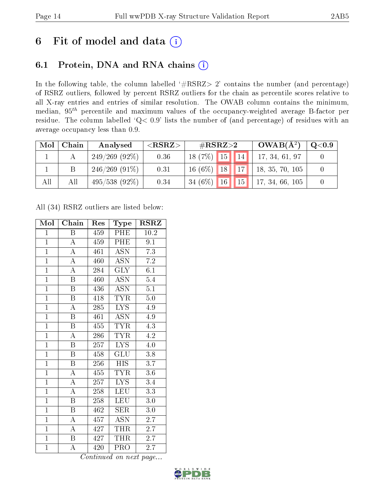## 6 Fit of model and data  $(i)$

## 6.1 Protein, DNA and RNA chains  $(i)$

In the following table, the column labelled  $#RSRZ> 2'$  contains the number (and percentage) of RSRZ outliers, followed by percent RSRZ outliers for the chain as percentile scores relative to all X-ray entries and entries of similar resolution. The OWAB column contains the minimum, median,  $95<sup>th</sup>$  percentile and maximum values of the occupancy-weighted average B-factor per residue. The column labelled ' $Q< 0.9$ ' lists the number of (and percentage) of residues with an average occupancy less than 0.9.

| Mol | Chain | Analysed         | ${ <\hspace{-1.5pt}{\mathrm{RSRZ}} \hspace{-1.5pt}>}$ | $\#\text{RSRZ}\text{>2}$    | $OWAB(A^2)$     | $\rm Q\textcolor{black}{<}0.9$ |
|-----|-------|------------------|-------------------------------------------------------|-----------------------------|-----------------|--------------------------------|
|     |       | $249/269(92\%)$  | 0.36                                                  | $18(7\%)$ 15   14           | 17, 34, 61, 97  |                                |
|     |       | $246/269$ (91\%) | 0.31                                                  | $\sqrt{17}$<br>$16(6\%)$ 18 | 18, 35, 70, 105 |                                |
| All | All   | $495/538(92\%)$  | 0.34                                                  | <b>15</b><br>$34(6\%)$ 16   | 17, 34, 66, 105 |                                |

All (34) RSRZ outliers are listed below:

| Mol            | Chain                   | Res | Type                      | $\rm RSRZ$       |
|----------------|-------------------------|-----|---------------------------|------------------|
| $\mathbf{1}$   | B                       | 459 | PHE                       | 10.2             |
| $\overline{1}$ | $\boldsymbol{A}$        | 459 | PHE                       | 9.1              |
| $\overline{1}$ | $\overline{\rm A}$      | 461 | $\overline{\mathrm{ASN}}$ | $\overline{7.3}$ |
| $\overline{1}$ | $\overline{\rm A}$      | 460 | <b>ASN</b>                | $7.2\,$          |
| $\overline{1}$ | $\overline{\rm A}$      | 284 | $\overline{\text{GLY}}$   | $\overline{6.1}$ |
| $\overline{1}$ | $\boldsymbol{B}$        | 460 | ASN                       | $5.4\,$          |
| $\overline{1}$ | $\boldsymbol{B}$        | 436 | <b>ASN</b>                | $\overline{5.1}$ |
| $\overline{1}$ | $\overline{\mathbf{B}}$ | 418 | <b>TYR</b>                | 5.0              |
| $\overline{1}$ | $\mathbf{A}$            | 285 | <b>LYS</b>                | 4.9              |
| $\overline{1}$ | $\overline{\mathrm{B}}$ | 461 | $\overline{\mathrm{ASN}}$ | 4.9              |
| $\overline{1}$ | $\overline{\mathbf{B}}$ | 455 | <b>TYR</b>                | 4.3              |
| $\overline{1}$ | $\overline{\rm A}$      | 286 | <b>TYR</b>                | 4.2              |
| $\overline{1}$ | $\overline{B}$          | 257 | <b>LYS</b>                | $4.0\,$          |
| $\overline{1}$ | $\overline{B}$          | 458 | $\overline{\mathrm{GLU}}$ | 3.8              |
| $\overline{1}$ | $\overline{\mathrm{B}}$ | 256 | <b>HIS</b>                | $\overline{3.7}$ |
| $\overline{1}$ | $\boldsymbol{A}$        | 455 | <b>TYR</b>                | 3.6              |
| $\overline{1}$ | $\overline{\rm A}$      | 257 | $\overline{\text{LYS}}$   | $\overline{3.4}$ |
| $\overline{1}$ | $\boldsymbol{A}$        | 258 | <b>LEU</b>                | $\overline{3.3}$ |
| $\overline{1}$ | $\overline{\mathrm{B}}$ | 258 | <b>LEU</b>                | 3.0              |
| $\overline{1}$ | $\overline{B}$          | 462 | SER                       | $3.0\,$          |
| $\overline{1}$ | $\overline{\rm A}$      | 457 | <b>ASN</b>                | 2.7              |
| $\overline{1}$ | A                       | 427 | THR                       | $2.\bar{7}$      |
| $\mathbf{1}$   | $\, {\bf B}$            | 427 | THR                       | 2.7              |
| $\mathbf{1}$   | A                       | 420 | PRO                       | 2.7              |